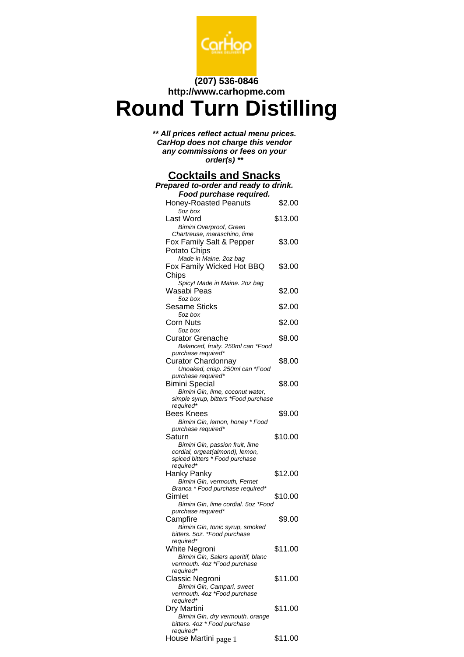

## **(207) 536-0846 http://www.carhopme.com Round Turn Distilling**

**\*\* All prices reflect actual menu prices. CarHop does not charge this vendor any commissions or fees on your order(s) \*\***

## **Cocktails and Snacks**

| Prepared to-order and ready to drink.                             |         |  |
|-------------------------------------------------------------------|---------|--|
| Food purchase required.                                           |         |  |
| <b>Honey-Roasted Peanuts</b>                                      | \$2.00  |  |
| 5oz box                                                           |         |  |
| Last Word                                                         | \$13.00 |  |
| Bimini Overproof, Green<br>Chartreuse, maraschino, lime           |         |  |
| Fox Family Salt & Pepper                                          | \$3.00  |  |
|                                                                   |         |  |
| Potato Chips<br>Made in Maine. 2oz bag                            |         |  |
| Fox Family Wicked Hot BBQ                                         | \$3.00  |  |
|                                                                   |         |  |
| Chips<br>Spicy! Made in Maine. 2oz bag                            |         |  |
| Wasabi Peas                                                       | \$2.00  |  |
| 5oz box                                                           |         |  |
| <b>Sesame Sticks</b>                                              | \$2.00  |  |
| 5oz box                                                           |         |  |
| Corn Nuts                                                         | \$2.00  |  |
| 5oz box                                                           |         |  |
| <b>Curator Grenache</b>                                           | \$8.00  |  |
| Balanced, fruity. 250ml can *Food                                 |         |  |
| purchase required*                                                |         |  |
| <b>Curator Chardonnay</b>                                         | \$8.00  |  |
| Unoaked, crisp. 250ml can *Food                                   |         |  |
| purchase required*                                                |         |  |
| <b>Bimini Special</b><br>Bimini Gin, lime, coconut water,         | \$8.00  |  |
| simple syrup, bitters *Food purchase                              |         |  |
| required*                                                         |         |  |
| <b>Bees Knees</b>                                                 | \$9.00  |  |
| Bimini Gin, lemon, honey * Food                                   |         |  |
| purchase required*                                                |         |  |
| Saturn                                                            | \$10.00 |  |
| Bimini Gin, passion fruit, lime                                   |         |  |
| cordial, orgeat(almond), lemon,<br>spiced bitters * Food purchase |         |  |
| required*                                                         |         |  |
| Hanky Panky                                                       | \$12.00 |  |
| Bimini Gin, vermouth, Fernet                                      |         |  |
| Branca * Food purchase required*                                  |         |  |
| Gimlet                                                            | \$10.00 |  |
| Bimini Gin, lime cordial. 5oz *Food                               |         |  |
| purchase required*                                                |         |  |
| Campfire                                                          | \$9.00  |  |
| Bimini Gin, tonic syrup, smoked<br>bitters. 5oz. *Food purchase   |         |  |
| required*                                                         |         |  |
| White Negroni                                                     | \$11.00 |  |
| Bimini Gin, Salers aperitif, blanc                                |         |  |
| vermouth. 4oz *Food purchase                                      |         |  |
| required*                                                         |         |  |
| Classic Negroni                                                   | \$11.00 |  |
| Bimini Gin, Campari, sweet<br>vermouth. 4oz *Food purchase        |         |  |
| required*                                                         |         |  |
| Dry Martini                                                       | \$11.00 |  |
| Bimini Gin, dry vermouth, orange                                  |         |  |
| bitters. 4oz * Food purchase                                      |         |  |
| required*                                                         |         |  |
| House Martini page 1                                              | \$11.00 |  |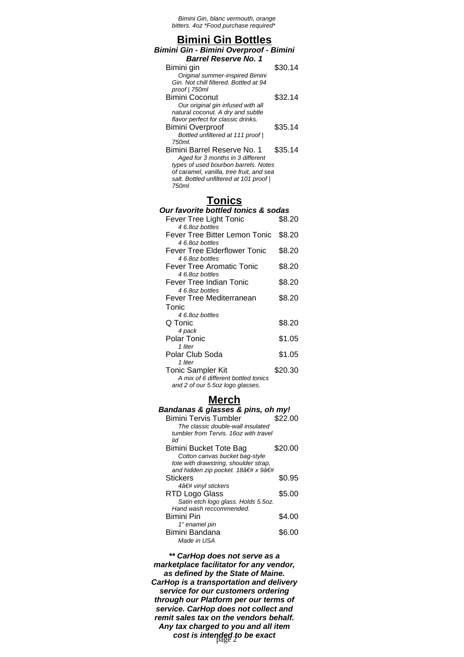Bimini Gin, blanc vermouth, orange bitters. 4oz \*Food purchase required\*

| <b>Bimini Gin Bottles</b>                |         |  |
|------------------------------------------|---------|--|
| Bimini Gin - Bimini Overproof - Bimini   |         |  |
| <b>Barrel Reserve No. 1</b>              |         |  |
| Bimini gin                               | \$30.14 |  |
| Original summer-inspired Bimini          |         |  |
| Gin. Not chill filtered. Bottled at 94   |         |  |
| proof   750ml                            |         |  |
| <b>Bimini Coconut</b>                    | \$32.14 |  |
| Our original gin infused with all        |         |  |
| natural coconut. A dry and subtle        |         |  |
| flavor perfect for classic drinks.       |         |  |
| Bimini Overproof                         | \$35.14 |  |
| Bottled unfiltered at 111 proof          |         |  |
| 750ml                                    |         |  |
| Bimini Barrel Reserve No. 1              | \$35.14 |  |
| Aged for 3 months in 3 different         |         |  |
| types of used bourbon barrels. Notes     |         |  |
| of caramel, vanilla, tree fruit, and sea |         |  |
| salt. Bottled unfiltered at 101 proof    |         |  |
| 750ml                                    |         |  |

## **Tonics**

| Our favorite bottled tonics & sodas  |         |  |
|--------------------------------------|---------|--|
| Fever Tree Light Tonic               | \$8.20  |  |
| 4.6.8oz bottles                      |         |  |
| <b>Fever Tree Bitter Lemon Tonic</b> | \$8.20  |  |
| 4.6.8oz bottles                      |         |  |
| Fever Tree Elderflower Tonic         | \$8.20  |  |
| 4.6.8oz bottles                      |         |  |
| Fever Tree Aromatic Tonic            | \$8.20  |  |
| 46.80z bottles                       |         |  |
| Fever Tree Indian Tonic              | \$8.20  |  |
| 46.80z bottles                       |         |  |
| Fever Tree Mediterranean             | \$8.20  |  |
| Tonic                                |         |  |
| 4.6.8oz bottles                      |         |  |
| Q Tonic                              | \$8.20  |  |
| 4 pack                               |         |  |
| Polar Tonic                          | \$1.05  |  |
| 1 liter                              |         |  |
| Polar Club Soda                      | \$1.05  |  |
| 1 liter                              |         |  |
| <b>Tonic Sampler Kit</b>             | \$20.30 |  |
| A mix of 6 different bottled tonics  |         |  |
| and 2 of our 5.5oz logo glasses.     |         |  |

## **Merch**

| Bandanas & glasses & pins, oh my!     |         |  |
|---------------------------------------|---------|--|
| <b>Bimini Tervis Tumbler</b>          | \$22.00 |  |
| The classic double-wall insulated     |         |  |
| tumbler from Tervis, 16oz with travel |         |  |
| lid                                   |         |  |
| Bimini Bucket Tote Bag                | \$20.00 |  |
| Cotton canvas bucket bag-style        |         |  |
| tote with drawstring, shoulder strap, |         |  |
| and hidden zip pocket. 18â€# x 9â€#   |         |  |
| <b>Stickers</b>                       | \$0.95  |  |
| 4â€# vinyl stickers                   |         |  |
| RTD Logo Glass                        | \$5.00  |  |
| Satin etch logo glass. Holds 5.5oz.   |         |  |
| Hand wash reccommended.               |         |  |
| <b>Bimini Pin</b>                     | \$4.00  |  |
| 1" enamel pin                         |         |  |
| Bimini Bandana                        | \$6.00  |  |
| Made in USA                           |         |  |

**\*\* CarHop does not serve as a marketplace facilitator for any vendor, as defined by the State of Maine. CarHop is a transportation and delivery service for our customers ordering through our Platform per our terms of service. CarHop does not collect and remit sales tax on the vendors behalf. Any tax charged to you and all item cost is intended to be exact**